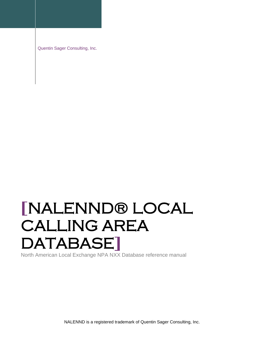Quentin Sager Consulting, Inc.

# **[**NALENND® LOCAL CALLING AREA DATABASE**]**

North American Local Exchange NPA NXX Database reference manual

NALENND is a registered trademark of Quentin Sager Consulting, Inc.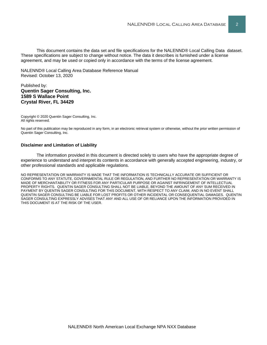This document contains the data set and file specifications for the NALENND® Local Calling Data dataset. These specifications are subject to change without notice. The data it describes is furnished under a license agreement, and may be used or copied only in accordance with the terms of the license agreement.

NALENND® Local Calling Area Database Reference Manual Revised: October 13, 2020

#### Published by: **Quentin Sager Consulting, Inc. 1589 S Wallace Point Crystal River, FL 34429**

Copyright © 2020 Quentin Sager Consulting, Inc. All rights reserved.

No part of this publication may be reproduced in any form, in an electronic retrieval system or otherwise, without the prior written permission of Quentin Sager Consulting, Inc.

#### **Disclaimer and Limitation of Liability**

The information provided in this document is directed solely to users who have the appropriate degree of experience to understand and interpret its contents in accordance with generally accepted engineering, industry, or other professional standards and applicable regulations.

NO REPRESENTATION OR WARRANTY IS MADE THAT THE INFORMATION IS TECHNICALLY ACCURATE OR SUFFICIENT OR CONFORMS TO ANY STATUTE, GOVERNMENTAL RULE OR REGULATION, AND FURTHER NO REPRESENTATION OR WARRANTY IS MADE OF MERCHANTABILITY OR FITNESS FOR ANY PARTICULAR PURPOSE OR AGAINST INFRINGEMENT OF INTELLECTUAL PROPERTY RIGHTS. QUENTIN SAGER CONSULTING SHALL NOT BE LIABLE, BEYOND THE AMOUNT OF ANY SUM RECEIVED IN PAYMENT BY QUENTIN SAGER CONSULTING FOR THIS DOCUMENT, WITH RESPECT TO ANY CLAIM, AND IN NO EVENT SHALL QUENTIN SAGER CONSULTING BE LIABLE FOR LOST PROFITS OR OTHER INCIDENTAL OR CONSEQUENTIAL DAMAGES. QUENTIN SAGER CONSULTING EXPRESSLY ADVISES THAT ANY AND ALL USE OF OR RELIANCE UPON THE INFORMATION PROVIDED IN THIS DOCUMENT IS AT THE RISK OF THE USER.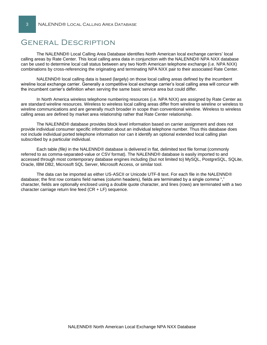## General Description

The NALENND® Local Calling Area Database identifies North American local exchange carriers' local calling areas by Rate Center. This local calling area data in conjunction with the NALENND® NPA NXX database can be used to determine local call status between any two North American telephone exchange (i.e. NPA NXX) combinations by cross-referencing the originating and terminating NPA NXX pair to their associated Rate Center.

NALENND® local calling data is based (largely) on those local calling areas defined by the incumbent wireline local exchange carrier. Generally a competitive local exchange carrier's local calling area will concur with the incumbent carrier's definition when serving the same basic service area but could differ.

In North America wireless telephone numbering resources (i.e. NPA NXX) are assigned by Rate Center as are standard wireline resources. Wireless to wireless local calling areas differ from wireline to wireline or wireless to wireline communications and are generally much broader in scope than conventional wireline. Wireless to wireless calling areas are defined by market area relationship rather that Rate Center relationship.

The NALENND® database provides block level information based on carrier assignment and does not provide individual consumer specific information about an individual telephone number. Thus this database does not include individual ported telephone information nor can it identify an optional extended local calling plan subscribed by a particular individual.

Each table *(file)* in the NALENND® database is delivered in flat, delimited text file format (commonly referred to as comma-separated-value or CSV format). The NALENND® database is easily imported to and accessed through most contemporary database engines including (but not limited to) MySQL, PostgreSQL, SQLite, Oracle, IBM DB2, Microsoft SQL Server, Microsoft Access, or similar tool.

The data can be imported as either US-ASCII or Unicode UTF-8 text. For each file in the NALENND® database; the first row contains field names (column headers), fields are terminated by a single comma "," character, fields are optionally enclosed using a double quote character, and lines (rows) are terminated with a two character carriage return line feed (CR + LF) sequence.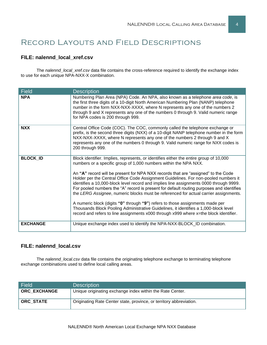# Record Layouts and Field Descriptions

#### **FILE: nalennd\_local\_xref.csv**

The *nalennd\_local\_xref.csv* data file contains the cross-reference required to identify the exchange index to use for each unique NPA-NXX-X combination.

| <b>Field</b>    | <b>Description</b>                                                                                                                                                                                                                                                                                                                                                                                                                                                                                                                                                                                                                                                                                                                                                                                                                                                                     |
|-----------------|----------------------------------------------------------------------------------------------------------------------------------------------------------------------------------------------------------------------------------------------------------------------------------------------------------------------------------------------------------------------------------------------------------------------------------------------------------------------------------------------------------------------------------------------------------------------------------------------------------------------------------------------------------------------------------------------------------------------------------------------------------------------------------------------------------------------------------------------------------------------------------------|
| <b>NPA</b>      | Numbering Plan Area (NPA) Code. An NPA, also known as a telephone area code, is<br>the first three digits of a 10-digit North American Numbering Plan (NANP) telephone<br>number in the form NXX-NXX-XXXX, where N represents any one of the numbers 2<br>through 9 and X represents any one of the numbers 0 through 9. Valid numeric range<br>for NPA codes is 200 through 999.                                                                                                                                                                                                                                                                                                                                                                                                                                                                                                      |
| <b>NXX</b>      | Central Office Code (COC). The COC, commonly called the telephone exchange or<br>prefix, is the second three digits (NXX) of a 10-digit NANP telephone number in the form<br>NXX-NXX-XXXX, where N represents any one of the numbers 2 through 9 and X<br>represents any one of the numbers 0 through 9. Valid numeric range for NXX codes is<br>200 through 999.                                                                                                                                                                                                                                                                                                                                                                                                                                                                                                                      |
| <b>BLOCK_ID</b> | Block identifier. Implies, represents, or identifies either the entire group of 10,000<br>numbers or a specific group of 1,000 numbers within the NPA NXX.<br>An "A" record will be present for NPA NXX records that are "assigned" to the Code<br>Holder per the Central Office Code Assignment Guidelines. For non-pooled numbers it<br>identifies a 10,000-block level record and implies line assignments 0000 through 9999.<br>For pooled numbers the "A" record is present for default routing purposes and identifies<br>the LERG Assignee, numeric blocks must be referenced for actual carrier assignments.<br>A numeric block (digits "0" through "9") refers to those assignments made per<br>Thousands Block Pooling Administrative Guidelines, it identifies a 1,000-block level<br>record and refers to line assignments x000 through x999 where x=the block identifier. |
| <b>EXCHANGE</b> | Unique exchange index used to identify the NPA-NXX-BLOCK_ID combination.                                                                                                                                                                                                                                                                                                                                                                                                                                                                                                                                                                                                                                                                                                                                                                                                               |

#### **FILE: nalennd\_local.csv**

The *nalennd\_local.csv* data file contains the originating telephone exchange to terminating telephone exchange combinations used to define local calling areas.

| Field               | <b>Description</b>                                                  |
|---------------------|---------------------------------------------------------------------|
| <b>ORC EXCHANGE</b> | Unique originating exchange index within the Rate Center.           |
| ORC STATE           | Originating Rate Center state, province, or territory abbreviation. |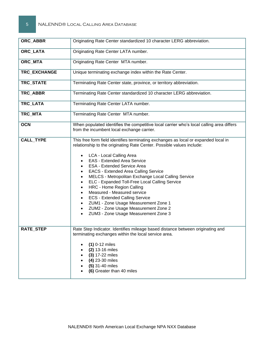| ORC_ABBR         | Originating Rate Center standardized 10 character LERG abbreviation.                                                                                                                                                                                                                                                                                                                                                                                                                                                                                                                                                                                                                                                    |  |  |  |
|------------------|-------------------------------------------------------------------------------------------------------------------------------------------------------------------------------------------------------------------------------------------------------------------------------------------------------------------------------------------------------------------------------------------------------------------------------------------------------------------------------------------------------------------------------------------------------------------------------------------------------------------------------------------------------------------------------------------------------------------------|--|--|--|
| ORC_LATA         | Originating Rate Center LATA number.                                                                                                                                                                                                                                                                                                                                                                                                                                                                                                                                                                                                                                                                                    |  |  |  |
| ORC_MTA          | Originating Rate Center MTA number.                                                                                                                                                                                                                                                                                                                                                                                                                                                                                                                                                                                                                                                                                     |  |  |  |
| TRC_EXCHANGE     | Unique terminating exchange index within the Rate Center.                                                                                                                                                                                                                                                                                                                                                                                                                                                                                                                                                                                                                                                               |  |  |  |
| TRC_STATE        | Terminating Rate Center state, province, or territory abbreviation.                                                                                                                                                                                                                                                                                                                                                                                                                                                                                                                                                                                                                                                     |  |  |  |
| TRC_ABBR         | Terminating Rate Center standardized 10 character LERG abbreviation.                                                                                                                                                                                                                                                                                                                                                                                                                                                                                                                                                                                                                                                    |  |  |  |
| TRC_LATA         | Terminating Rate Center LATA number.                                                                                                                                                                                                                                                                                                                                                                                                                                                                                                                                                                                                                                                                                    |  |  |  |
| TRC_MTA          | Terminating Rate Center MTA number.                                                                                                                                                                                                                                                                                                                                                                                                                                                                                                                                                                                                                                                                                     |  |  |  |
| <b>OCN</b>       | When populated identifies the competitive local carrier who's local calling area differs<br>from the incumbent local exchange carrier.                                                                                                                                                                                                                                                                                                                                                                                                                                                                                                                                                                                  |  |  |  |
| <b>CALL_TYPE</b> | This free form field identifies terminating exchanges as local or expanded local in<br>relationship to the originating Rate Center. Possible values include:<br>LCA - Local Calling Area<br>$\bullet$<br><b>EAS - Extended Area Service</b><br>$\bullet$<br><b>ESA - Extended Service Area</b><br>$\bullet$<br><b>EACS - Extended Area Calling Service</b><br>٠<br>MELCS - Metropolitan Exchange Local Calling Service<br>٠<br>ELC - Expanded Toll-Free Local Calling Service<br>HRC - Home Region Calling<br>$\bullet$<br>Measured - Measured service<br><b>ECS - Extended Calling Service</b><br>ZUM1 - Zone Usage Measurement Zone 1<br>ZUM2 - Zone Usage Measurement Zone 2<br>ZUM3 - Zone Usage Measurement Zone 3 |  |  |  |
| <b>RATE STEP</b> | Rate Step Indicator. Identifies mileage based distance between originating and<br>terminating exchanges within the local service area.<br>$(1)$ 0-12 miles<br>(2) 13-16 miles<br>(3) 17-22 miles<br>(4) 23-30 miles<br>(5) 31-40 miles<br>(6) Greater than 40 miles                                                                                                                                                                                                                                                                                                                                                                                                                                                     |  |  |  |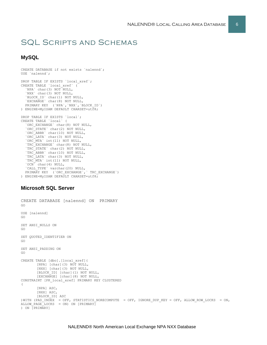# SQL Scripts and Schemas

#### **MySQL**

```
CREATE DATABASE if not exists `nalennd`;
USE `nalennd`;
DROP TABLE IF EXISTS `local_xref`;
CREATE TABLE `local_xref` (
 `NPA` char(3) NOT NULL,
 `NXX` char(3) NOT NULL,
 `BLOCK_ID` char(1) NOT NULL,
 `EXCHANGE` char(8) NOT NULL,
  PRIMARY KEY (`NPA`,`NXX`,`BLOCK_ID`)
) ENGINE=MyISAM DEFAULT CHARSET=utf8;
DROP TABLE IF EXISTS `local`;
CREATE TABLE `local` (
   `ORC_EXCHANGE` char(8) NOT NULL,
   `ORC_STATE` char(2) NOT NULL,
   `ORC_ABBR` char(10) NOT NULL,
   `ORC_LATA` char(3) NOT NULL,
   `ORC_MTA` int(11) NOT NULL,
   `TRC_EXCHANGE` char(8) NOT NULL,
   `TRC_STATE` char(2) NOT NULL,
 `TRC_ABBR` char(10) NOT NULL,
 `TRC_LATA` char(3) NOT NULL,
   `TRC_MTA` int(11) NOT NULL,
  'OCN' char(4) NULL,
 `CALL_TYPE` varchar(20) NULL,
PRIMARY KEY (`ORC EXCHANGE`,` TRC EXCHANGE`)
) ENGINE=MyISAM DEFAULT CHARSET=utf8;
```
#### **Microsoft SQL Server**

```
CREATE DATABASE [nalennd] ON PRIMARY
GO
USE [nalennd]
GO
SET ANSI_NULLS ON
GO
SET QUOTED IDENTIFIER ON
GO
SET ANSI_PADDING ON
GO
CREATE TABLE [dbo].[local_xref](
       [NPA] [char](3) NOT NULL,
       [NXX] [char](3) NOT NULL,
       [BLOCK_ID] [char](1) NOT NULL,
       [EXCHANGE] [char](8) NOT NULL,
CONSTRAINT [PK_local_xref] PRIMARY KEY CLUSTERED 
(
       [NPA] ASC,
       [NXX] ASC,
       [BLOCK_ID] ASC
) WITH (PAD INDEX = OFF, STATISTICS NORECOMPUTE = OFF, IGNORE DUP KEY = OFF, ALLOW ROW LOCKS = ON,
ALLOW PAGE LOCKS = ON) ON [PRIMARY]
) ON [PRIMARY]
```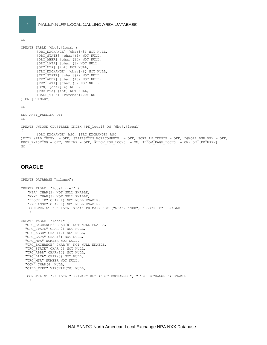GO

```
CREATE TABLE [dbo].[local](
       [ORC_EXCHANGE] [char](8) NOT NULL,
       [ORC_STATE] [char](2) NOT NULL,
        [ORC_ABBR] [char](10) NOT NULL,
       [ORC_LATA] [char](3) NOT NULL,
       [ORC_MTA] [int] NOT NULL,
       [TRC_EXCHANGE] [char](8) NOT NULL,
       [TRC_STATE] [char](2) NOT NULL,
       [TRC_ABBR] [char](10) NOT NULL,
       [TRC_LATA] [char](3) NOT NULL,
       [OCN] [char](4) NULL,
       [TRC_MTA] [int] NOT NULL,
       [CALL_TYPE] [varchar](20) NULL
) ON [PRIMARY]
GO
SET ANSI_PADDING OFF
GO
CREATE UNIQUE CLUSTERED INDEX [PK_local] ON [dbo].[local] 
(
       [ORC_EXCHANGE] ASC, [TRC_EXCHANGE] ASC
)WITH (PAD_INDEX = OFF, STATISTICS_NORECOMPUTE = OFF, SORT_IN_TEMPDB = OFF, IGNORE_DUP_KEY = OFF, 
DROP_EXISTING = OFF, ONLINE = OFF, ALLOW ROW_LOCKS = ON, ALLOW_PAGE_LOCKS = ON) ON [PRIMARY]
GO
```
#### **ORACLE**

```
CREATE DATABASE "nalennd";
CREATE TABLE "local_xref" (
    "NPA" CHAR(3) NOT NULL ENABLE, 
    "NXX" CHAR(3) NOT NULL ENABLE, 
    "BLOCK_ID" CHAR(1) NOT NULL ENABLE, 
    "EXCHANGE" CHAR(8) NOT NULL ENABLE,
    CONSTRAINT "PK_local_xref" PRIMARY KEY ("NPA", "NXX", "BLOCK_ID") ENABLE
   );
CREATE TABLE "local" (
  "ORC EXCHANGE" CHAR(8) NOT NULL ENABLE,
   "ORC_STATE" CHAR(2) NOT NULL,
   "ORC_ABBR" CHAR(10) NOT NULL,
   "ORC_LATA" CHAR(3) NOT NULL,
   "ORC_MTA" NUMBER NOT NULL,
   "TRC_EXCHANGE" CHAR(8) NOT NULL ENABLE,
   "TRC_STATE" CHAR(2) NOT NULL,
   "TRC_ABBR" CHAR(10) NOT NULL,
   "TRC_LATA" CHAR(3) NOT NULL,
   "TRC_MTA" NUMBER NOT NULL,
   "OCN" CHAR(4) NULL,
  "CALL TYPE" VARCHAR(20) NULL,
    CONSTRAINT "PK_local" PRIMARY KEY ("ORC_EXCHANGE ", " TRC_EXCHANGE ") ENABLE
    );
```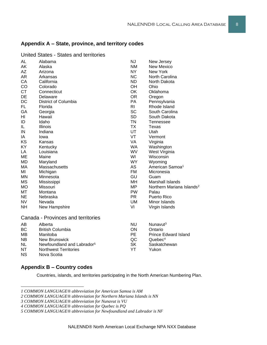## **Appendix A – State, province, and territory codes**

| AL        | Alabama                                | <b>NJ</b>      | New Jersey                            |
|-----------|----------------------------------------|----------------|---------------------------------------|
| AK        | Alaska                                 | <b>NM</b>      | <b>New Mexico</b>                     |
| <b>AZ</b> | Arizona                                | NY             | New York                              |
| AR        | Arkansas                               | <b>NC</b>      | North Carolina                        |
| CA        | California                             | ND.            | North Dakota                          |
| CO        | Colorado                               | OH             | Ohio                                  |
| <b>CT</b> | Connecticut                            | OK             | Oklahoma                              |
| DE        | Delaware                               | <b>OR</b>      | Oregon                                |
| DC        | District of Columbia                   | PA             | Pennsylvania                          |
| FL.       | Florida                                | R <sub>l</sub> | Rhode Island                          |
| GA        | Georgia                                | <b>SC</b>      | South Carolina                        |
| HI        | Hawaii                                 | <b>SD</b>      | South Dakota                          |
| ID        | Idaho                                  | <b>TN</b>      | Tennessee                             |
| IL.       | Illinois                               | <b>TX</b>      | Texas                                 |
| IN        | Indiana                                | <b>UT</b>      | Utah                                  |
| ΙA        | lowa                                   | VT             | Vermont                               |
| ΚS        | Kansas                                 | VA             | Virginia                              |
| KY        | Kentucky                               | <b>WA</b>      | Washington                            |
| LA        | Louisiana                              | WV             | West Virginia                         |
| ME        | Maine                                  | WI             | Wisconsin                             |
| <b>MD</b> | Maryland                               | <b>WY</b>      | Wyoming                               |
| MA        | Massachusetts                          | AS             | American Samoa <sup>1</sup>           |
| MI        | Michigan                               | <b>FM</b>      | Micronesia                            |
| <b>MN</b> | Minnesota                              | GU             | Guam                                  |
| <b>MS</b> | Mississippi                            | MH             | Marshall Islands                      |
| <b>MO</b> | Missouri                               | MP             | Northern Mariana Islands <sup>2</sup> |
| МT        | Montana                                | <b>PW</b>      | Palau                                 |
| <b>NE</b> | Nebraska                               | <b>PR</b>      | Puerto Rico                           |
| <b>NV</b> | Nevada                                 | UM             | Minor Islands                         |
| <b>NH</b> | New Hampshire                          | VI             | Virgin Islands                        |
|           | Canada - Provinces and territories     |                |                                       |
| AB        | Alberta                                | <b>NU</b>      | Nunavut <sup>3</sup>                  |
| <b>BC</b> | <b>British Columbia</b>                | ON             | Ontario                               |
| <b>MB</b> | Manitoba                               | <b>PE</b>      | <b>Prince Edward Island</b>           |
| <b>NB</b> | <b>New Brunswick</b>                   | QC             | Quebec <sup>4</sup>                   |
| <b>NL</b> | Newfoundland and Labrador <sup>5</sup> | <b>SK</b>      | Saskatchewan                          |
| ΝT        | <b>Northwest Territories</b>           | YT             | Yukon                                 |
|           |                                        |                |                                       |

United States - States and territories

#### **Appendix B – Country codes**

NS Nova Scotia

Countries, islands, and territories participating in the North American Numbering Plan.

*<sup>1</sup> COMMON LANGUAGE® abbreviation for American Samoa is AM*

*<sup>2</sup> COMMON LANGUAGE® abbreviation for Northern Mariana Islands is NN*

*<sup>3</sup> COMMON LANGUAGE® abbreviation for Nunavut is VU*

*<sup>4</sup> COMMON LANGUAGE® abbreviation for Quebec is PQ*

*<sup>5</sup> COMMON LANGUAGE® abbreviation for Newfoundland and Labrador is NF*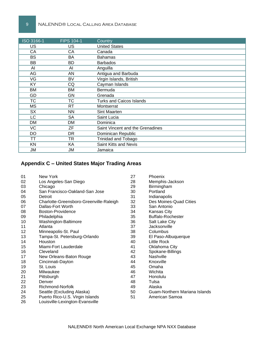| ISO 3166-1 | <b>FIPS 104-1</b> | Country                          |
|------------|-------------------|----------------------------------|
| US         | US                | <b>United States</b>             |
| СA         | CA                | Canada                           |
| <b>BS</b>  | BA                | <b>Bahamas</b>                   |
| BB         | BD                | <b>Barbados</b>                  |
| AI         | AI                | Anguilla                         |
| AG         | AN                | Antigua and Barbuda              |
| VG         | <b>BV</b>         | Virgin Islands, British          |
| KY.        | CQ                | Cayman Islands                   |
| BM         | ВM                | Bermuda                          |
| GD         | <b>GN</b>         | Grenada                          |
| <b>TC</b>  | ТC                | <b>Turks and Caicos Islands</b>  |
| <b>MS</b>  | RT.               | Montserrat                       |
| <b>SX</b>  | <b>NN</b>         | Sint Maarten                     |
| LC         | <b>SA</b>         | Saint Lucia                      |
| DM         | DM                | Dominica                         |
| VC         | ΖF                | Saint Vincent and the Grenadines |
| DO.        | DR                | Dominican Republic               |
| ТT         | <b>TR</b>         | <b>Trinidad and Tobago</b>       |
| KN         | ΚA                | Saint Kitts and Nevis            |
| JM         | JM                | Jamaica                          |

#### **Appendix C – United States Major Trading Areas**

| 01 | New York                                | 27 | Phoenix                       |
|----|-----------------------------------------|----|-------------------------------|
| 02 | Los Angeles-San Diego                   | 28 | Memphis-Jackson               |
| 03 | Chicago                                 | 29 | Birmingham                    |
| 04 | San Francisco-Oakland-San Jose          | 30 | Portland                      |
| 05 | Detroit                                 | 31 | Indianapolis                  |
| 06 | Charlotte-Greensboro-Greenville-Raleigh | 32 | Des Moines-Quad Cities        |
| 07 | Dallas-Fort Worth                       | 33 | San Antonio                   |
| 08 | Boston-Providence                       | 34 | <b>Kansas City</b>            |
| 09 | Philadelphia                            | 35 | Buffalo-Rochester             |
| 10 | Washington-Baltimore                    | 36 | Salt Lake City                |
| 11 | Atlanta                                 | 37 | Jacksonville                  |
| 12 | Minneapolis-St. Paul                    | 38 | Columbus                      |
| 13 | Tampa-St. Petersburg-Orlando            | 39 | El Paso-Albuquerque           |
| 14 | Houston                                 | 40 | Little Rock                   |
| 15 | Miami-Fort Lauderdale                   | 41 | Oklahoma City                 |
| 16 | Cleveland                               | 42 | Spokane-Billings              |
| 17 | New Orleans-Baton Rouge                 | 43 | Nashville                     |
| 18 | Cincinnati-Dayton                       | 44 | Knoxville                     |
| 19 | St. Louis                               | 45 | Omaha                         |
| 20 | Milwaukee                               | 46 | Wichita                       |
| 21 | Pittsburgh                              | 47 | <b>Honolulu</b>               |
| 22 | Denver                                  | 48 | Tulsa                         |
| 23 | Richmond-Norfolk                        | 49 | Alaska                        |
| 24 | Seattle (Excluding Alaska)              | 50 | Guam-Northern Mariana Islands |
| 25 | Puerto Rico-U.S. Virgin Islands         | 51 | American Samoa                |
| 26 | Louisville-Lexington-Evansville         |    |                               |